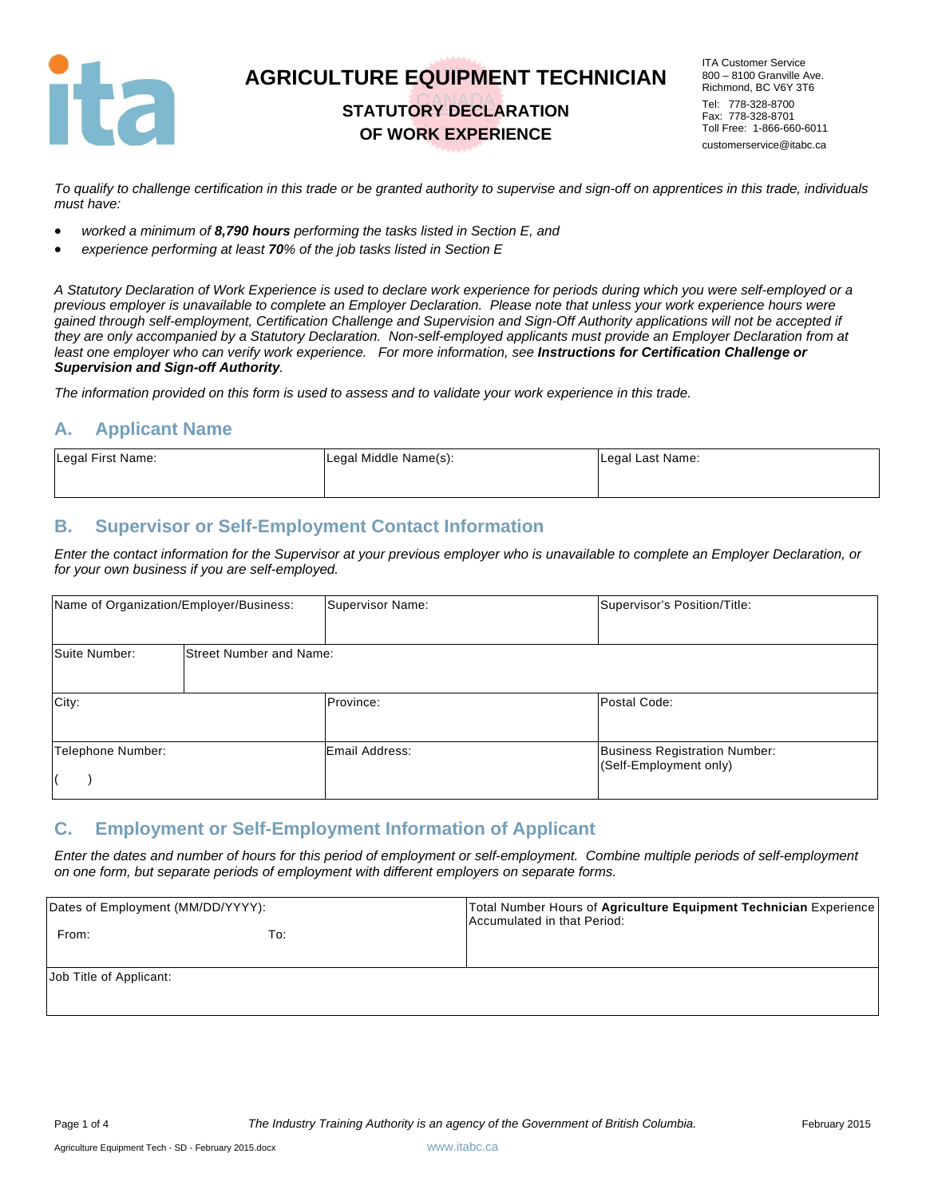

### **STATUTORY DECLARATION OF WORK EXPERIENCE**

ITA Customer Service 800 – 8100 Granville Ave. Richmond, BC V6Y 3T6 Tel: 778-328-8700 Fax: 778-328-8701 Toll Free: 1-866-660-6011 customerservice@itabc.ca

*To qualify to challenge certification in this trade or be granted authority to supervise and sign-off on apprentices in this trade, individuals must have:* 

- *worked a minimum of 8,790 hours performing the tasks listed in Section E, and*
- *experience performing at least 70% of the job tasks listed in Section E*

*A Statutory Declaration of Work Experience is used to declare work experience for periods during which you were self-employed or a previous employer is unavailable to complete an Employer Declaration. Please note that unless your work experience hours were gained through self-employment, Certification Challenge and Supervision and Sign-Off Authority applications will not be accepted if they are only accompanied by a Statutory Declaration. Non-self-employed applicants must provide an Employer Declaration from at*  least one employer who can verify work experience. For more information, see **Instructions for Certification Challenge or** *Supervision and Sign-off Authority.* 

*The information provided on this form is used to assess and to validate your work experience in this trade.* 

#### **A. Applicant Name**

| Legal First Name: | Legal Middle Name(s): | Legal Last Name: |
|-------------------|-----------------------|------------------|
|                   |                       |                  |

#### **B. Supervisor or Self-Employment Contact Information**

*Enter the contact information for the Supervisor at your previous employer who is unavailable to complete an Employer Declaration, or for your own business if you are self-employed.* 

| Name of Organization/Employer/Business: |                                | Supervisor Name: | Supervisor's Position/Title:                                   |
|-----------------------------------------|--------------------------------|------------------|----------------------------------------------------------------|
| Suite Number:                           | <b>Street Number and Name:</b> |                  |                                                                |
| City:                                   |                                | Province:        | Postal Code:                                                   |
| Telephone Number:                       |                                | Email Address:   | <b>Business Registration Number:</b><br>(Self-Employment only) |

#### **C. Employment or Self-Employment Information of Applicant**

*Enter the dates and number of hours for this period of employment or self-employment. Combine multiple periods of self-employment on one form, but separate periods of employment with different employers on separate forms.* 

| Dates of Employment (MM/DD/YYYY): |     | Total Number Hours of Agriculture Equipment Technician Experience<br>Accumulated in that Period: |
|-----------------------------------|-----|--------------------------------------------------------------------------------------------------|
| From:                             | To: |                                                                                                  |
| Job Title of Applicant:           |     |                                                                                                  |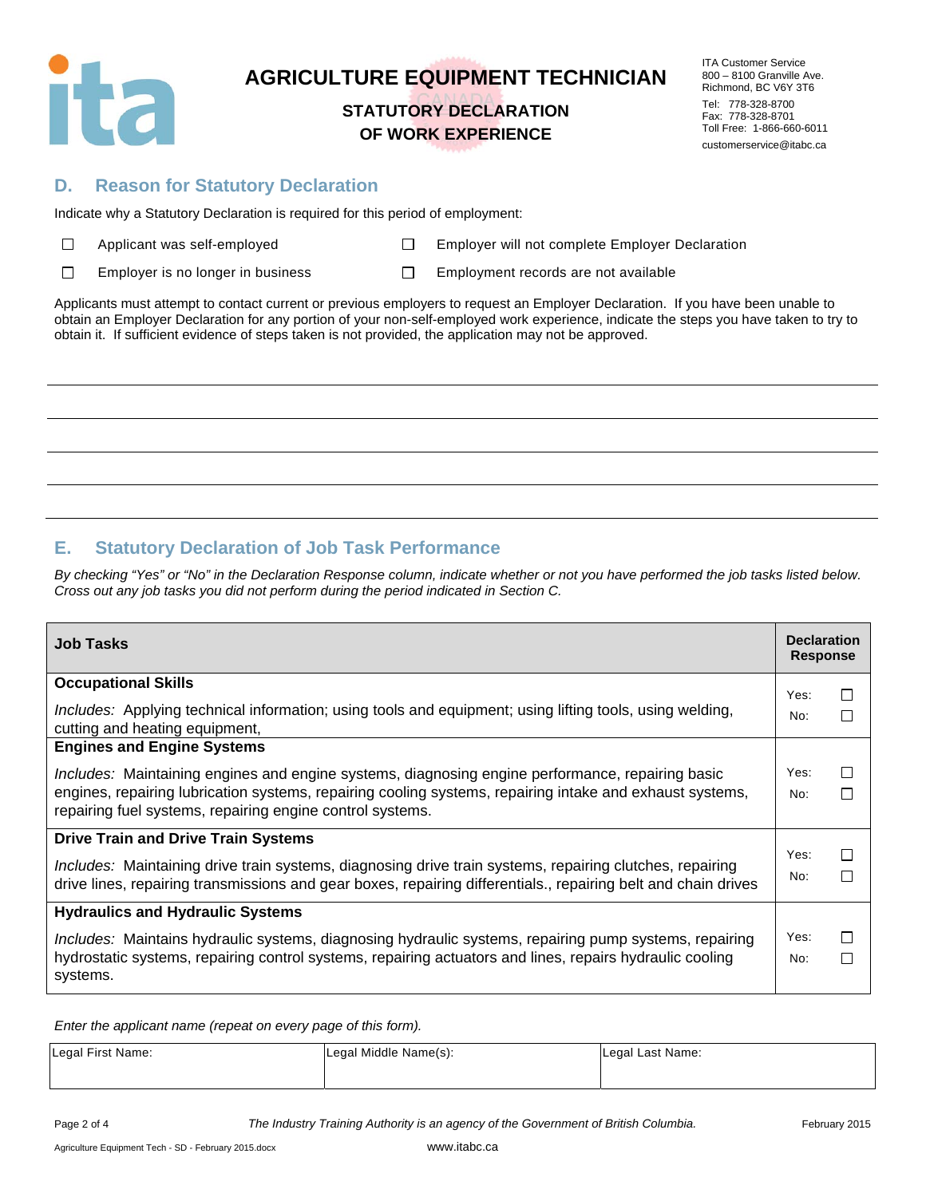

### **STATUTORY DECLARATION OF WORK EXPERIENCE**

ITA Customer Service 800 – 8100 Granville Ave. Richmond, BC V6Y 3T6 Tel: 778-328-8700 Fax: 778-328-8701 Toll Free: 1-866-660-6011 customerservice@itabc.ca

### **D. Reason for Statutory Declaration**

Indicate why a Statutory Declaration is required for this period of employment:

| $\Box$ | Applicant was self-employe |  |
|--------|----------------------------|--|
|--------|----------------------------|--|

ed **Employer will not complete Employer Declaration** 

 $\Box$ Employer is no longer in business  $\square$  Employment records are not available

Applicants must attempt to contact current or previous employers to request an Employer Declaration. If you have been unable to obtain an Employer Declaration for any portion of your non-self-employed work experience, indicate the steps you have taken to try to obtain it. If sufficient evidence of steps taken is not provided, the application may not be approved.

### **E. Statutory Declaration of Job Task Performance**

*By checking "Yes" or "No" in the Declaration Response column, indicate whether or not you have performed the job tasks listed below. Cross out any job tasks you did not perform during the period indicated in Section C.* 

| <b>Job Tasks</b>                                                                                                                                                                                                                                                                 | <b>Declaration</b><br><b>Response</b> |              |
|----------------------------------------------------------------------------------------------------------------------------------------------------------------------------------------------------------------------------------------------------------------------------------|---------------------------------------|--------------|
| <b>Occupational Skills</b>                                                                                                                                                                                                                                                       | Yes:                                  | П            |
| Includes: Applying technical information; using tools and equipment; using lifting tools, using welding,<br>cutting and heating equipment,                                                                                                                                       | No:                                   | $\mathbf{L}$ |
| <b>Engines and Engine Systems</b>                                                                                                                                                                                                                                                |                                       |              |
| <i>Includes:</i> Maintaining engines and engine systems, diagnosing engine performance, repairing basic<br>engines, repairing lubrication systems, repairing cooling systems, repairing intake and exhaust systems,<br>repairing fuel systems, repairing engine control systems. | Yes:<br>No:                           | П<br>П       |
| <b>Drive Train and Drive Train Systems</b>                                                                                                                                                                                                                                       |                                       |              |
| Includes: Maintaining drive train systems, diagnosing drive train systems, repairing clutches, repairing<br>drive lines, repairing transmissions and gear boxes, repairing differentials., repairing belt and chain drives                                                       | Yes:<br>No:                           | $\Box$<br>П  |
| <b>Hydraulics and Hydraulic Systems</b>                                                                                                                                                                                                                                          |                                       |              |
| Includes: Maintains hydraulic systems, diagnosing hydraulic systems, repairing pump systems, repairing<br>hydrostatic systems, repairing control systems, repairing actuators and lines, repairs hydraulic cooling<br>systems.                                                   | Yes:<br>No:                           | $\Box$<br>П  |

*Enter the applicant name (repeat on every page of this form).* 

| Legal First Name: | Legal Middle Name(s): | Legal Last Name: |
|-------------------|-----------------------|------------------|
|                   |                       |                  |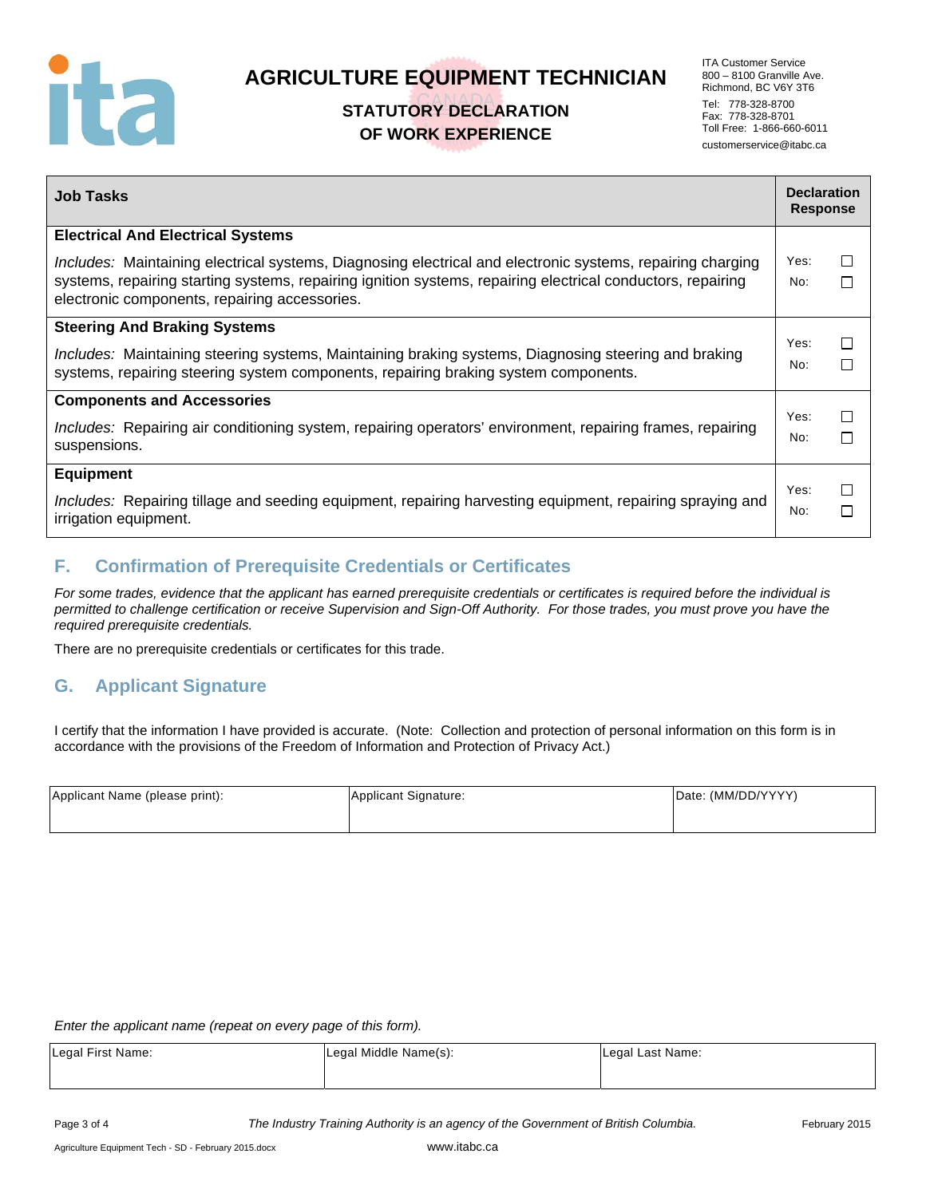

## **STATUTORY DECLARATION OF WORK EXPERIENCE**

ITA Customer Service 800 – 8100 Granville Ave. Richmond, BC V6Y 3T6 Tel: 778-328-8700 Fax: 778-328-8701 Toll Free: 1-866-660-6011 customerservice@itabc.ca

| <b>Job Tasks</b>                                                                                                                                                                                                                                                           | <b>Declaration</b><br><b>Response</b> |             |
|----------------------------------------------------------------------------------------------------------------------------------------------------------------------------------------------------------------------------------------------------------------------------|---------------------------------------|-------------|
| <b>Electrical And Electrical Systems</b>                                                                                                                                                                                                                                   |                                       |             |
| Includes: Maintaining electrical systems, Diagnosing electrical and electronic systems, repairing charging<br>systems, repairing starting systems, repairing ignition systems, repairing electrical conductors, repairing<br>electronic components, repairing accessories. | Yes:<br>No:                           | □<br>П      |
| <b>Steering And Braking Systems</b>                                                                                                                                                                                                                                        | Yes:                                  |             |
| Includes: Maintaining steering systems, Maintaining braking systems, Diagnosing steering and braking<br>systems, repairing steering system components, repairing braking system components.                                                                                | No:                                   | П<br>П      |
| <b>Components and Accessories</b>                                                                                                                                                                                                                                          |                                       |             |
| Includes: Repairing air conditioning system, repairing operators' environment, repairing frames, repairing<br>suspensions.                                                                                                                                                 | Yes:<br>No:                           | $\Box$<br>П |
| <b>Equipment</b>                                                                                                                                                                                                                                                           |                                       |             |
| Includes: Repairing tillage and seeding equipment, repairing harvesting equipment, repairing spraying and<br>irrigation equipment.                                                                                                                                         | Yes:<br>No:                           | П<br>П      |

### **F. Confirmation of Prerequisite Credentials or Certificates**

*For some trades, evidence that the applicant has earned prerequisite credentials or certificates is required before the individual is permitted to challenge certification or receive Supervision and Sign-Off Authority. For those trades, you must prove you have the required prerequisite credentials.* 

There are no prerequisite credentials or certificates for this trade.

### **G. Applicant Signature**

I certify that the information I have provided is accurate. (Note: Collection and protection of personal information on this form is in accordance with the provisions of the Freedom of Information and Protection of Privacy Act.)

| Applicant Name (please print): | Applicant Signature: | Date: (MM/DD/YYYY) |
|--------------------------------|----------------------|--------------------|
|                                |                      |                    |

*Enter the applicant name (repeat on every page of this form).* 

| Legal First Name: | Legal Middle Name(s): | Legal Last Name: |
|-------------------|-----------------------|------------------|
|                   |                       |                  |

Page 3 of 4 *The Industry Training Authority is an agency of the Government of British Columbia.* February 2015